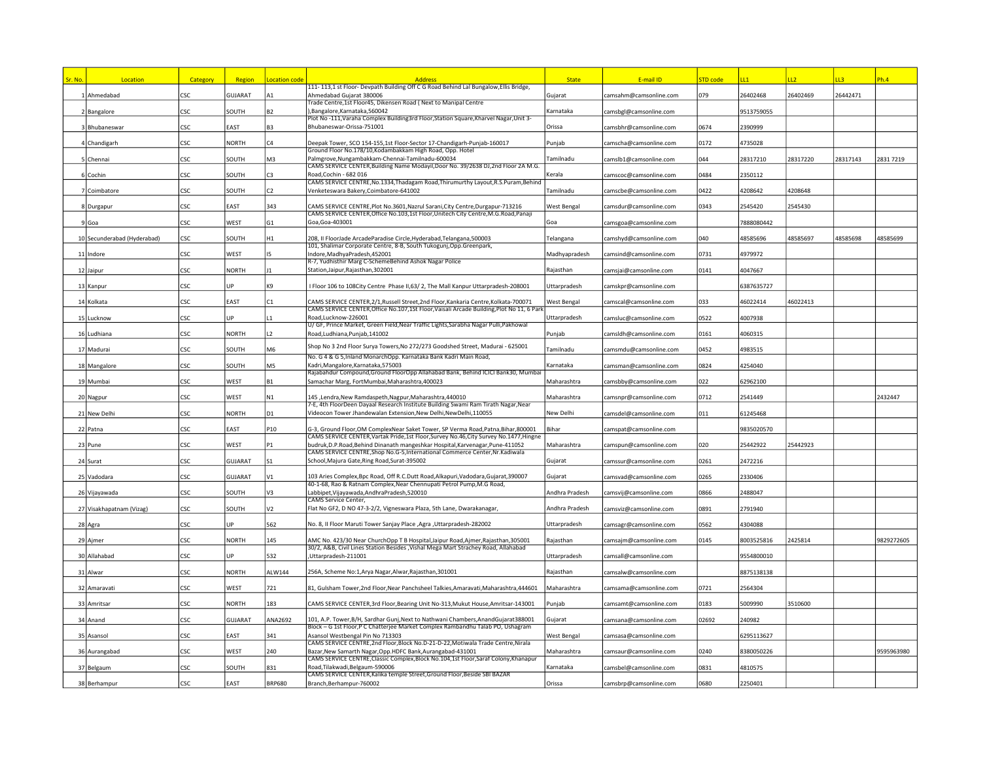| <mark>Sr. No.</mark> | Location                    | Category   | Region         | <b>Location code</b> | <b>Address</b>                                                                                                                                                             | <b>State</b>   | E-mail ID              | <b>STD</b> code | 11         | LL2      | L3       | Ph.4       |
|----------------------|-----------------------------|------------|----------------|----------------------|----------------------------------------------------------------------------------------------------------------------------------------------------------------------------|----------------|------------------------|-----------------|------------|----------|----------|------------|
|                      |                             |            |                |                      | 111-113,1 st Floor-Devpath Building Off C G Road Behind Lal Bungalow, Ellis Bridge,                                                                                        |                |                        |                 |            |          |          |            |
|                      | 1 Ahmedabad                 | <b>CSC</b> | GUJARAT        | А1                   | Ahmedabad Gujarat 380006<br>rade Centre,1st Floor45, Dikensen Road (Next to Manipal Centre                                                                                 | Gujarat        | camsahm@camsonline.com | 079             | 26402468   | 26402469 | 26442471 |            |
|                      | 2 Bangalore                 | CSC        | SOUTH          | B <sub>2</sub>       | ,Bangalore,Karnataka,560042                                                                                                                                                | Karnataka      | camsbgl@camsonline.com |                 | 9513759055 |          |          |            |
|                      | 3 Bhubaneswar               | CSC.       | EAST           | B <sub>3</sub>       | -Plot No-111, Varaha Complex Building3rd Floor, Station Square, Kharvel Nagar, Unit 3<br>Bhubaneswar-Orissa-751001                                                         | Orissa         | camsbhr@camsonline.com | 0674            | 2390999    |          |          |            |
|                      |                             |            |                |                      |                                                                                                                                                                            |                |                        |                 |            |          |          |            |
|                      | 4 Chandigarh                | CSC.       | <b>NORTH</b>   | CA                   | Deepak Tower, SCO 154-155,1st Floor-Sector 17-Chandigarh-Punjab-160017<br>Ground Floor No.178/10,Kodambakkam High Road, Opp. Hotel                                         | Punjab         | camscha@camsonline.com | 0172            | 4735028    |          |          |            |
|                      | 5 Chennai                   | CSC        | SOUTH          | M3                   | Palmgrove, Nungambakkam-Chennai-Tamilnadu-600034                                                                                                                           | Tamilnadu      | camslb1@camsonline.com | 044             | 28317210   | 28317220 | 28317143 | 28317219   |
|                      | 6 Cochin                    | CSC        | SOUTH          | C <sub>3</sub>       | CAMS SERVICE CENTER, Building Name Modayil, Door No. 39/2638 DJ, 2nd Floor 2A M.G.<br>Road.Cochin - 682 016                                                                | Kerala         | camscoc@camsonline.com | 0484            | 2350112    |          |          |            |
|                      |                             |            |                |                      | CAMS SERVICE CENTRE, No.1334, Thadagam Road, Thirumurthy Layout, R.S. Puram, Behind                                                                                        |                |                        |                 |            |          |          |            |
|                      | 7 Coimbatore                | CSC        | SOUTH          | C <sub>2</sub>       | Venketeswara Bakery, Coimbatore-641002                                                                                                                                     | Tamilnadu      | camscbe@camsonline.com | 0422            | 4208642    | 4208648  |          |            |
|                      | 8 Durgapur                  | CSC        | EAST           | 343                  | CAMS SERVICE CENTRE, Plot No.3601, Nazrul Sarani, City Centre, Durgapur-713216                                                                                             | West Bengal    | camsdur@camsonline.com | 0343            | 2545420    | 2545430  |          |            |
|                      |                             | CSC        |                |                      | CAMS SERVICE CENTER, Office No.103, 1st Floor, Unitech City Centre, M.G.Road, Panaji<br>Goa.Goa-403001                                                                     | Goa            |                        |                 |            |          |          |            |
|                      | 9 Goa                       |            | WEST           | G <sub>1</sub>       |                                                                                                                                                                            |                | camsgoa@camsonline.com |                 | 7888080442 |          |          |            |
|                      | 10 Secunderabad (Hyderabad) | CSC        | SOUTH          | H1                   | 208, II FloorJade ArcadeParadise Circle,Hyderabad,Telangana,500003                                                                                                         | Telangana      | camshyd@camsonline.com | 040             | 48585696   | 48585697 | 48585698 | 48585699   |
|                      | 11 Indore                   | CSC        | WEST           | I5                   | 101, Shalimar Corporate Centre, 8-B, South Tukogunj,Opp.Greenpark,<br>ndore, MadhyaPradesh, 452001                                                                         | Madhyapradesh  | camsind@camsonline.com | 0731            | 4979972    |          |          |            |
|                      |                             |            |                |                      | R-7, Yudhisthir Marg C-SchemeBehind Ashok Nagar Police                                                                                                                     |                |                        |                 |            |          |          |            |
|                      | 12 Jaipur                   | CSC        | <b>NORTH</b>   | 11                   | Station, Jaipur, Rajasthan, 302001                                                                                                                                         | Rajasthan      | camsjai@camsonline.com | 0141            | 4047667    |          |          |            |
|                      | 13 Kanpur                   | CSC        | IJP            | K9                   | Floor 106 to 108City Centre Phase II,63/2, The Mall Kanpur Uttarpradesh-208001                                                                                             | Uttarpradesh   | camskpr@camsonline.com |                 | 5387635727 |          |          |            |
|                      | 14 Kolkata                  | CSC        | EAST           | C <sub>1</sub>       | CAMS SERVICE CENTER,2/1,Russell Street,2nd Floor,Kankaria Centre,Kolkata-700071                                                                                            | West Bengal    | camscal@camsonline.com | 033             | 46022414   | 46022413 |          |            |
|                      |                             |            |                |                      | CAMS SERVICE CENTER, Office No.107, 1St Floor, Vaisali Arcade Building, Plot No 11, 6 Parl                                                                                 |                |                        |                 |            |          |          |            |
|                      | 15 Lucknow                  | CSC        | UP             | $\overline{1}$       | Road.Lucknow-226001<br>U/ GF, Prince Market, Green Field, Near Traffic Lights, Sarabha Nagar Pulli, Pakhowal                                                               | Uttarpradesh   | camsluc@camsonline.com | 0522            | 4007938    |          |          |            |
|                      | 16 Ludhiana                 | CSC.       | <b>NORTH</b>   | L2                   | Road, Ludhiana, Punjab, 141002                                                                                                                                             | Punjab         | camsIdh@camsonline.com | 0161            | 4060315    |          |          |            |
|                      | 17 Madurai                  | <b>CSC</b> | SOUTH          | M <sub>6</sub>       | Shop No 3 2nd Floor Surya Towers, No 272/273 Goodshed Street, Madurai - 625001                                                                                             | Tamilnadu      | camsmdu@camsonline.com | 0452            | 4983515    |          |          |            |
|                      |                             |            |                |                      | No. G 4 & G 5, Inland MonarchOpp. Karnataka Bank Kadri Main Road,                                                                                                          |                |                        |                 |            |          |          |            |
|                      | 18 Mangalore                | CSC        | SOUTH          | M <sub>5</sub>       | Kadri, Mangalore, Karnataka, 575003<br>Rajabahdur Compound,Ground FloorOpp Allahabad Bank, Behind ICICI Bank30, Mumbai                                                     | Karnataka      | camsman@camsonline.com | 0824            | 4254040    |          |          |            |
|                      | 19 Mumbai                   | CSC        | WEST           | <b>B1</b>            | Samachar Marg, FortMumbai, Maharashtra, 400023                                                                                                                             | Maharashtra    | camsbby@camsonline.com | 022             | 52962100   |          |          |            |
|                      | 20 Nagpur                   | CSC        | WEST           | N1                   | 145, Lendra, New Ramdaspeth, Nagpur, Maharashtra, 440010                                                                                                                   | Maharashtra    | camsnpr@camsonline.com | 0712            | 2541449    |          |          | 2432447    |
|                      |                             |            |                |                      | 7-E, 4th FloorDeen Dayaal Research Institute Building Swami Ram Tirath Nagar, Near                                                                                         |                |                        |                 |            |          |          |            |
|                      | 21 New Delhi                | CSC        | <b>NORTH</b>   | D <sub>1</sub>       | Videocon Tower Jhandewalan Extension, New Delhi, New Delhi, 110055                                                                                                         | New Delhi      | camsdel@camsonline.com | 011             | 61245468   |          |          |            |
|                      | 22 Patna                    | CSC        | EAST           | P10                  | G-3, Ground Floor, OM ComplexNear Saket Tower, SP Verma Road, Patna, Bihar, 800001                                                                                         | Bihar          | camspat@camsonline.com |                 | 9835020570 |          |          |            |
|                      | 23 Pune                     | CSC        | WEST           | P <sub>1</sub>       | CAMS SERVICE CENTER, Vartak Pride, 1st Floor, Survey No.46, City Survey No.1477, Hingne<br>budruk, D.P. Road, Behind Dinanath mangeshkar Hospital, Karvenagar, Pune-411052 | Maharashtra    | camspun@camsonline.com | 020             | 25442922   | 25442923 |          |            |
|                      |                             |            |                |                      | CAMS SERVICE CENTRE, Shop No.G-5, International Commerce Center, Nr. Kadiwala                                                                                              |                |                        |                 |            |          |          |            |
|                      | 24 Surat                    | CSC        | <b>GUJARAT</b> | S <sub>1</sub>       | School, Majura Gate, Ring Road, Surat-395002                                                                                                                               | Gujarat        | camssur@camsonline.com | 0261            | 2472216    |          |          |            |
|                      | 25 Vadodara                 | CSC        | GUJARAT        | V <sub>1</sub>       | 103 Aries Complex, Bpc Road, Off R.C.Dutt Road, Alkapuri, Vadodara, Gujarat, 390007                                                                                        | Gujarat        | camsvad@camsonline.com | 0265            | 2330406    |          |          |            |
|                      | 26 Vijayawada               | CSC.       | SOUTH          | V3                   | 40-1-68, Rao & Ratnam Complex, Near Chennupati Petrol Pump, M.G Road,<br>Labbipet, Vijayawada, Andhra Pradesh, 520010                                                      | Andhra Pradesh | camsvij@camsonline.com | 0866            | 2488047    |          |          |            |
|                      |                             |            |                |                      | CAMS Service Center,                                                                                                                                                       |                |                        |                 |            |          |          |            |
|                      | 27 Visakhapatnam (Vizag)    | CSC        | SOUTH          | V <sub>2</sub>       | Flat No GF2, D NO 47-3-2/2, Vigneswara Plaza, 5th Lane, Dwarakanagar,                                                                                                      | Andhra Pradesh | camsviz@camsonline.com | 0891            | 2791940    |          |          |            |
|                      | 28 Agra                     | CSC        | UP             | 562                  | No. 8, II Floor Maruti Tower Sanjay Place ,Agra ,Uttarpradesh-282002                                                                                                       | Uttarpradesh   | camsagr@camsonline.com | 0562            | 4304088    |          |          |            |
|                      | 29 Ajmer                    | CSC        | NORTH          | 145                  | AMC No. 423/30 Near ChurchOpp T B Hospital, Jaipur Road, Ajmer, Rajasthan, 305001                                                                                          | Rajasthan      | camsajm@camsonline.com | 0145            | 8003525816 | 2425814  |          | 9829272605 |
|                      |                             |            |                |                      | 30/2, A&B, Civil Lines Station Besides , Vishal Mega Mart Strachey Road, Allahabad                                                                                         |                |                        |                 |            |          |          |            |
|                      | 30 Allahabad                | CSC        | <b>IIP</b>     | 532                  | Uttarpradesh-211001                                                                                                                                                        | Uttarpradesh   | camsall@camsonline.com |                 | 9554800010 |          |          |            |
|                      | 31 Alwar                    | CSC        | <b>NORTH</b>   | ALW144               | 256A, Scheme No:1, Arya Nagar, Alwar, Rajasthan, 301001                                                                                                                    | Raiasthan      | camsalw@camsonline.com |                 | 8875138138 |          |          |            |
|                      | 32 Amaravati                | CSC.       | WEST           | 721                  | 81, Gulsham Tower, 2nd Floor, Near Panchsheel Talkies, Amaravati, Maharashtra, 444601                                                                                      | Maharashtra    | camsama@camsonline.com | 0721            | 2564304    |          |          |            |
|                      |                             |            |                |                      |                                                                                                                                                                            |                |                        |                 |            |          |          |            |
|                      | 33 Amritsar                 | CSC        | <b>NORTH</b>   | 183                  | CAMS SERVICE CENTER, 3rd Floor, Bearing Unit No-313, Mukut House, Amritsar-143001                                                                                          | Punjab         | camsamt@camsonline.com | 0183            | 5009990    | 3510600  |          |            |
|                      | 34 Anand                    | <b>CSC</b> | <b>GUJARAT</b> | ANA2692              | 101, A.P. Tower, B/H, Sardhar Gunj, Next to Nathwani Chambers, Anand Gujarat 388001                                                                                        | Gujarat        | camsana@camsonline.com | 02692           | 240982     |          |          |            |
|                      | 35 Asansol                  | CSC        | EAST           | 341                  | Block - G 1st Floor, P C Chatterjee Market Complex Rambandhu Talab PO, Ushagram<br>Asansol Westbengal Pin No 713303                                                        | West Bengal    | camsasa@camsonline.com |                 | 6295113627 |          |          |            |
|                      |                             |            |                |                      | CAMS SERVICE CENTRE, 2nd Floor, Block No.D-21-D-22, Motiwala Trade Centre, Nirala                                                                                          |                |                        |                 |            |          |          |            |
|                      | 36 Aurangabad               | CSC        | WEST           | 240                  | Bazar, New Samarth Nagar, Opp. HDFC Bank, Aurangabad-431001<br>CAMS SERVICE CENTRE, Classic Complex, Block No.104, 1st Floor, Saraf Colony, Khanapur                       | Maharashtra    | camsaur@camsonline.com | 0240            | 8380050226 |          |          | 9595963980 |
|                      | 37 Belgaum                  | CSC        | SOUTH          | 831                  | Road, Tilakwadi, Belgaum-590006                                                                                                                                            | Karnataka      | camsbel@camsonline.com | 0831            | 4810575    |          |          |            |
|                      |                             | CSC        | EAST           | <b>BRP680</b>        | CAMS SERVICE CENTER, Kalika temple Street, Ground Floor, Beside SBI BAZAR<br>Branch, Berhampur-760002                                                                      | Orissa         |                        | 0680            | 2250401    |          |          |            |
|                      | 38 Berhampur                |            |                |                      |                                                                                                                                                                            |                | camsbrp@camsonline.com |                 |            |          |          |            |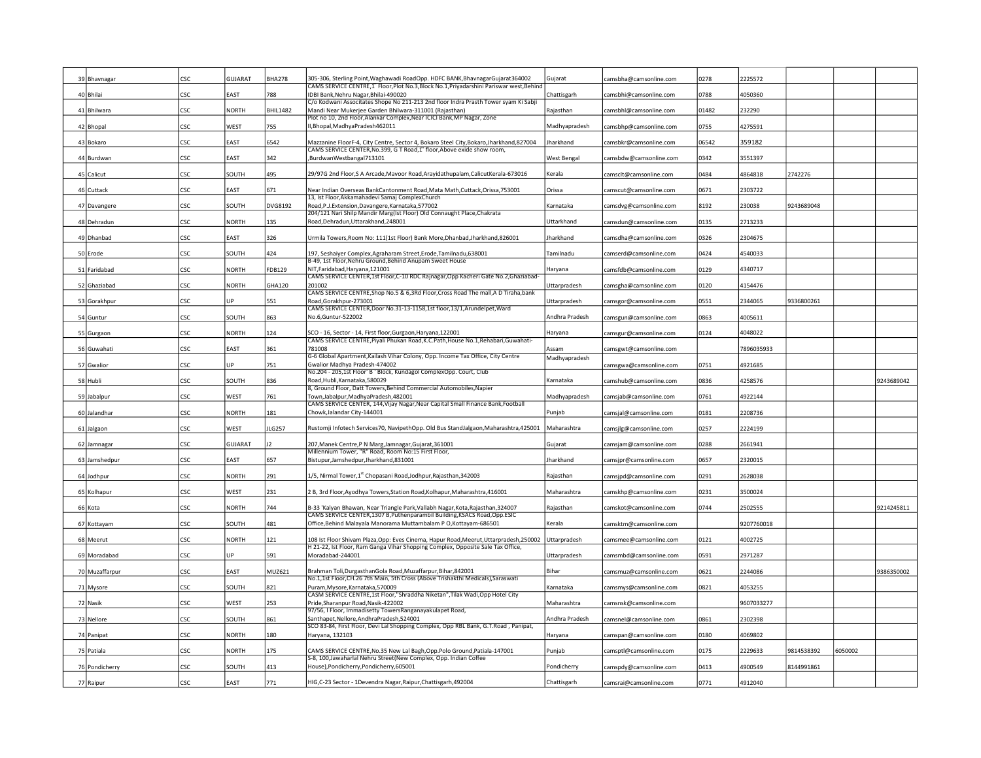|    | 39 Bhavnagar   | csc  | GUJARAT      | <b>BHA278</b>   | 305-306, Sterling Point, Waghawadi RoadOpp. HDFC BANK, BhavnagarGujarat 364002<br>CAMS SERVICE CENTRE, 1 Floor, Plot No.3, Block No.1, Privadarshini Pariswar west, Behing | Gujarat        | camsbha@camsonline.com | 0278  | 2225572    |            |         |            |
|----|----------------|------|--------------|-----------------|----------------------------------------------------------------------------------------------------------------------------------------------------------------------------|----------------|------------------------|-------|------------|------------|---------|------------|
|    | 40 Bhilai      | CSC  | EAST         | 788             | IDBI Bank, Nehru Nagar, Bhilai-490020                                                                                                                                      | Chattisgarh    | camsbhi@camsonline.com | 0788  | 4050360    |            |         |            |
|    |                |      |              |                 | C/o Kodwani Associtates Shope No 211-213 2nd floor Indra Prasth Tower syam Ki Sabji                                                                                        |                |                        |       |            |            |         |            |
|    | 41 Bhilwara    | CSC  | <b>NORTH</b> | <b>BHIL1482</b> | Mandi Near Mukerjee Garden Bhilwara-311001 (Rajasthan)                                                                                                                     | Rajasthan      | camsbhl@camsonline.com | 01482 | 232290     |            |         |            |
|    | 42 Bhopal      | CSC  | <b>NEST</b>  | 755             | Plot no 10, 2nd Floor, Alankar Complex, Near ICICI Bank, MP Nagar, Zone<br>I, Bhopal, Madhya Pradesh 462011                                                                | Madhyapradesh  | camsbhp@camsonline.com | 0755  | 4275591    |            |         |            |
|    |                |      |              |                 |                                                                                                                                                                            |                |                        |       |            |            |         |            |
|    | 43 Bokaro      | CSC  | <b>AST</b>   | 6542            | Mazzanine FloorF-4, City Centre, Sector 4, Bokaro Steel City, Bokaro, Jharkhand, 827004                                                                                    | Jharkhand      | camsbkr@camsonline.com | 06542 | 359182     |            |         |            |
|    | 44 Burdwan     | CSC  | <b>AST</b>   | 342             | CAMS SERVICE CENTER, No.399, G T Road, 1" floor, Above exide show room,<br>BurdwanWestbangal713101                                                                         | West Bengal    | camsbdw@camsonline.com | 0342  | 3551397    |            |         |            |
|    |                |      |              |                 |                                                                                                                                                                            |                |                        |       |            |            |         |            |
|    | 45 Calicut     | CSC  | SOUTH        | 495             | 29/97G 2nd Floor, S A Arcade, Mavoor Road, Arayidathupalam, Calicut Kerala-673016                                                                                          | Kerala         | camsclt@camsonline.com | 0484  | 4864818    | 2742276    |         |            |
|    |                | csc  | EAST         | 671             | Near Indian Overseas BankCantonment Road, Mata Math, Cuttack, Orissa, 753001                                                                                               | Orissa         |                        | 0671  | 2303722    |            |         |            |
|    | 46 Cuttack     |      |              |                 | 13, Ist Floor, Akkamahadevi Samaj ComplexChurch                                                                                                                            |                | camscut@camsonline.com |       |            |            |         |            |
|    | 47 Davangere   | CSC  | SOUTH        | DVG8192         | Road, P.J. Extension, Davangere, Karnataka, 577002                                                                                                                         | Karnataka      | camsdvg@camsonline.com | 8192  | 230038     | 9243689048 |         |            |
|    |                | CSC  | <b>NORTH</b> | 135             | 204/121 Nari Shilp Mandir Marg(Ist Floor) Old Connaught Place, Chakrata<br>Road, Dehradun, Uttarakhand, 248001                                                             | Uttarkhand     |                        | 0135  |            |            |         |            |
|    | 48 Dehradun    |      |              |                 |                                                                                                                                                                            |                | camsdun@camsonline.com |       | 2713233    |            |         |            |
|    | 49 Dhanbad     | CSC  | EAST         | 326             | Jrmila Towers, Room No: 111(1st Floor) Bank More, Dhanbad, Jharkhand, 826001                                                                                               | Jharkhand      | camsdha@camsonline.com | 0326  | 2304675    |            |         |            |
|    |                |      |              |                 |                                                                                                                                                                            |                |                        |       |            |            |         |            |
|    | 50 Erode       | CSC  | SOUTH        | 424             | 197, Seshaiyer Complex, Agraharam Street, Erode, Tamilnadu, 638001<br>B-49, 1st Floor, Nehru Ground, Behind Anupam Sweet House                                             | Tamilnadu      | camserd@camsonline.com | 0424  | 4540033    |            |         |            |
|    | 51 Faridabad   | CSC  | NORTH        | FDB129          | NIT.Faridabad.Harvana.121001                                                                                                                                               | Haryana        | camsfdb@camsonline.com | 0129  | 4340717    |            |         |            |
|    |                |      |              |                 | CAMS SERVICE CENTER,1st Floor,C-10 RDC Rajnagar,Opp Kacheri Gate No.2,Ghaziabad-                                                                                           |                |                        |       |            |            |         |            |
| 52 | Ghaziabad      | CSC  | NORTH        | <b>GHA120</b>   | 201002<br>CAMS SERVICE CENTRE, Shop No.5 & 6,3Rd Floor, Cross Road The mall, A D Tiraha, bank                                                                              | Uttarpradesh   | camsgha@camsonline.com | 0120  | 4154476    |            |         |            |
| 53 | Gorakhpur      | CSC  | IP           | 551             | Road, Gorakhpur-273001                                                                                                                                                     | Uttarpradesh   | camsgor@camsonline.com | 0551  | 2344065    | 9336800261 |         |            |
|    |                |      |              |                 | CAMS SERVICE CENTER, Door No.31-13-1158, 1st floor, 13/1, Arundelpet, Ward                                                                                                 |                |                        |       |            |            |         |            |
|    | 54 Guntur      | CSC  | SOUTH        | 863             | No.6, Guntur-522002                                                                                                                                                        | Andhra Pradesh | camsgun@camsonline.com | 0863  | 4005611    |            |         |            |
|    | 55 Gurgaon     | CSC  | <b>NORTH</b> | 124             | SCO - 16, Sector - 14, First floor, Gurgaon, Haryana, 122001                                                                                                               | Haryana        | camsgur@camsonline.com | 0124  | 4048022    |            |         |            |
|    |                |      |              |                 | CAMS SERVICE CENTRE, Piyali Phukan Road, K.C. Path, House No. 1, Rehabari, Guwahati-                                                                                       |                |                        |       |            |            |         |            |
|    | 56 Guwahati    | csc  | EAST         | 361             | 781008<br>G-6 Global Apartment, Kailash Vihar Colony, Opp. Income Tax Office, City Centre                                                                                  | Assam          | camsgwt@camsonline.com |       | 7896035933 |            |         |            |
|    | 57 Gwalior     | CSC  | UP           | 751             | Gwalior Madhya Pradesh-474002                                                                                                                                              | Madhyapradesh  | camsgwa@camsonline.com | 0751  | 4921685    |            |         |            |
|    |                |      |              |                 | No.204 - 205,1st Floor' B ' Block, Kundagol ComplexOpp. Court, Club                                                                                                        |                |                        |       |            |            |         |            |
| 58 | Hubli          | CSC  | SOUTH        | 836             | Road, Hubli, Karnataka, 580029                                                                                                                                             | Karnataka      | camshub@camsonline.com | 0836  | 4258576    |            |         | 9243689042 |
|    | 59 Jabalpur    | CSC  | WEST         | 761             | 8, Ground Floor, Datt Towers, Behind Commercial Automobiles, Napier<br>Town, Jabalpur, MadhyaPradesh, 482001                                                               | Madhyapradesh  | camsjab@camsonline.com | 0761  | 4922144    |            |         |            |
|    |                |      |              |                 | CAMS SERVICE CENTER, 144, Vijay Nagar, Near Capital Small Finance Bank, Football                                                                                           |                |                        |       |            |            |         |            |
|    | 60 Jalandhar   | CSC  | <b>NORTH</b> | 181             | Chowk, Jalandar City-144001                                                                                                                                                | Punjab         | camsjal@camsonline.com | 0181  | 2208736    |            |         |            |
|    | 61 Jalgaon     | CSC  | WEST         | LG257           | Rustomji Infotech Services70, NavipethOpp. Old Bus StandJalgaon, Maharashtra, 425001                                                                                       | Maharashtra    | camsjlg@camsonline.com | 0257  | 2224199    |            |         |            |
|    |                |      |              |                 |                                                                                                                                                                            |                |                        |       |            |            |         |            |
|    | 62 Jamnagar    | CSC  | GUJARAT      |                 | 207, Manek Centre, PN Marg, Jamnagar, Gujarat, 361001                                                                                                                      | Gujarat        | camsjam@camsonline.com | 0288  | 2661941    |            |         |            |
|    | 63 Jamshedpur  | CSC  | EAST         | 657             | Millennium Tower, "R" Road, Room No:15 First Floor,<br>Bistupur, Jamshedpur, Jharkhand, 831001                                                                             | harkhand       |                        | 0657  | 2320015    |            |         |            |
|    |                |      |              |                 |                                                                                                                                                                            |                | camsjpr@camsonline.com |       |            |            |         |            |
|    | Jodhpur        | csc  | <b>NORTH</b> | 291             | 1/5, Nirmal Tower,1" Chopasani Road,Jodhpur,Rajasthan,342003                                                                                                               | Rajasthan      | camsjpd@camsonline.com | 0291  | 2628038    |            |         |            |
|    |                | CSC. | WEST         | 231             |                                                                                                                                                                            |                |                        | 0231  | 3500024    |            |         |            |
|    | 65 Kolhapur    |      |              |                 | 2 B, 3rd Floor, Ayodhya Towers, Station Road, Kolhapur, Maharashtra, 416001                                                                                                | Maharashtra    | camskhp@camsonline.com |       |            |            |         |            |
|    | 66 Kota        | CSC  | <b>NORTH</b> | 744             | B-33 'Kalyan Bhawan, Near Triangle Park, Vallabh Nagar, Kota, Rajasthan, 324007                                                                                            | Rajasthan      | camskot@camsonline.com | 0744  | 2502555    |            |         | 9214245811 |
|    |                |      |              |                 | CAMS SERVICE CENTER,1307 B, Puthenparambil Building, KSACS Road, Opp.ESIC<br>Office, Behind Malayala Manorama Muttambalam P O, Kottayam-686501                             | Kerala         |                        |       |            |            |         |            |
|    | 67 Kottayam    | CSC  | SOUTH        | 481             |                                                                                                                                                                            |                | camsktm@camsonline.com |       | 9207760018 |            |         |            |
|    | 68 Meerut      | CSC  | <b>NORTH</b> | 121             | LO8 Ist Floor Shivam Plaza, Opp: Eves Cinema, Hapur Road, Meerut, Uttarpradesh, 250002                                                                                     | Uttarpradesh   | camsmee@camsonline.com | 0121  | 4002725    |            |         |            |
|    |                | CSC  | JP           |                 | H 21-22, Ist Floor, Ram Ganga Vihar Shopping Complex, Opposite Sale Tax Office,<br>Moradabad-244001                                                                        |                |                        |       |            |            |         |            |
|    | 69 Moradabad   |      |              | 591             |                                                                                                                                                                            | Uttarpradesh   | camsmbd@camsonline.com | 0591  | 2971287    |            |         |            |
|    | 70 Muzaffarpur | CSC  | EAST         | MUZ621          | Brahman Toli, Durgasthan Gola Road, Muzaffarpur, Bihar, 842001                                                                                                             | Bihar          | camsmuz@camsonline.com | 0621  | 2244086    |            |         | 9386350002 |
|    |                |      |              |                 | No.1,1st Floor, CH.26 7th Main, 5th Cross (Above Trishakthi Medicals), Saraswati                                                                                           |                |                        |       |            |            |         |            |
|    | 71 Mysore      | csc  | SOUTH        | 821             | Puram, Mysore, Karnataka, 570009<br>CASM SERVICE CENTRE,1st Floor,"Shraddha Niketan",Tilak Wadi,Opp Hotel City                                                             | Karnataka      | camsmys@camsonline.com | 0821  | 4053255    |            |         |            |
|    | 72 Nasik       | CSC  | WEST         | 253             | Pride, Sharanpur Road, Nasik-422002                                                                                                                                        | Maharashtra    | camsnsk@camsonline.com |       | 9607033277 |            |         |            |
|    |                |      |              |                 | 97/56, I Floor, Immadisetty TowersRanganayakulapet Road,                                                                                                                   |                |                        |       |            |            |         |            |
|    | 73 Nellore     | CSC  | SOUTH        | 861             | Santhapet, Nellore, AndhraPradesh, 524001<br>SCO 83-84, First Floor, Devi Lal Shopping Complex, Opp RBL Bank, G.T.Road, Panipat,                                           | Andhra Pradesh | camsnel@camsonline.com | 0861  | 2302398    |            |         |            |
|    | 74 Panipat     | CSC  | <b>NORTH</b> | 180             | Haryana, 132103                                                                                                                                                            | Haryana        | camspan@camsonline.com | 0180  | 4069802    |            |         |            |
|    |                |      |              |                 |                                                                                                                                                                            |                |                        |       |            |            |         |            |
|    | Patiala        | CSC  | <b>NORTH</b> | 175             | CAMS SERVICE CENTRE, No.35 New Lal Bagh, Opp. Polo Ground, Patiala-147001                                                                                                  | Punjab         | camsptl@camsonline.com | 0175  | 2229633    | 9814538392 | 6050002 |            |
|    |                |      |              |                 | S-8, 100, Jawaharlal Nehru Street (New Complex, Opp. Indian Coffee                                                                                                         |                |                        |       |            |            |         |            |
|    |                |      |              |                 |                                                                                                                                                                            |                |                        |       |            |            |         |            |
| 76 | Pondicherry    | CSC  | SOUTH        | 413<br>771      | House),Pondicherry,Pondicherry,605001                                                                                                                                      | Pondicherry    | camspdy@camsonline.com | 0413  | 4900549    | 8144991861 |         |            |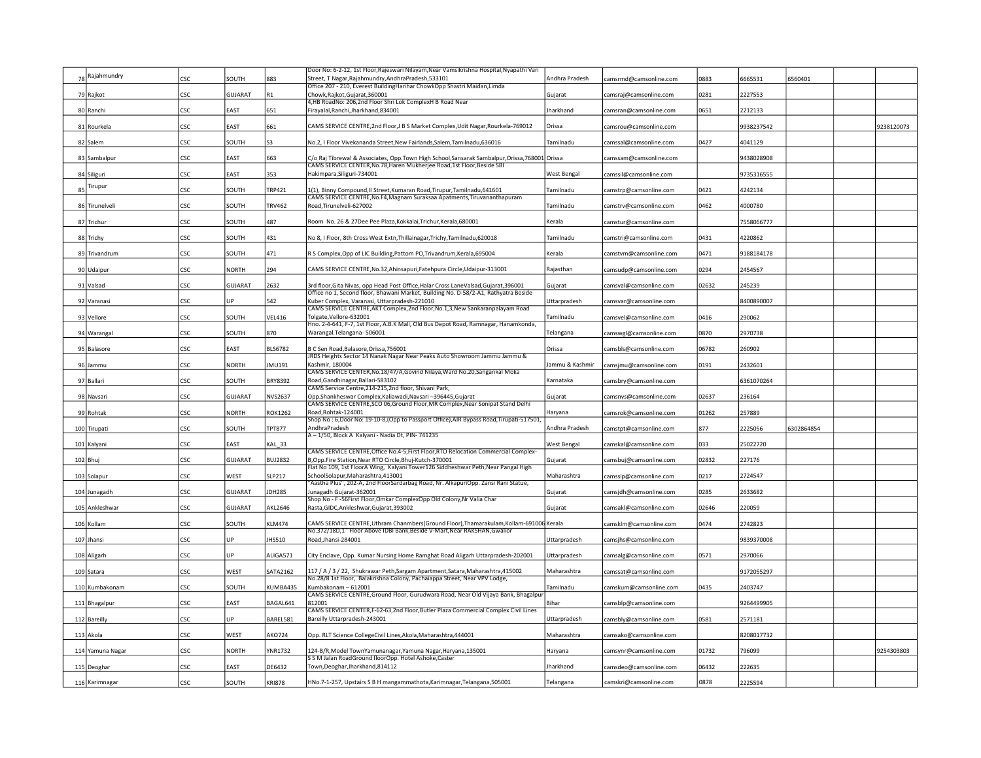|    |                  |            |              |                | Door No: 6-2-12, 1st Floor, Rajeswari Nilayam, Near Vamsikrishna Hospital, Nyapathi Vari                                                                                    |                  |                        |       |            |            |            |
|----|------------------|------------|--------------|----------------|-----------------------------------------------------------------------------------------------------------------------------------------------------------------------------|------------------|------------------------|-------|------------|------------|------------|
|    | Rajahmundry      | CSC        | SOUTH        | 883            | Street, T Nagar, Rajahmundry, AndhraPradesh, 533101                                                                                                                         | Andhra Pradesh   | camsrmd@camsonline.com | 0883  | 6665531    | 6560401    |            |
|    |                  |            |              |                | Office 207 - 210, Everest BuildingHarihar ChowkOpp Shastri Maidan,Limda                                                                                                     |                  |                        |       |            |            |            |
|    | 79 Raikot        | CSC        | GUJARAT      | R1             | Chowk.Raikot.Guiarat.360001                                                                                                                                                 | Gujarat          | camsraj@camsonline.com | 0281  | 2227553    |            |            |
|    |                  |            |              |                | 4,HB RoadNo: 206,2nd Floor Shri Lok ComplexH B Road Near                                                                                                                    |                  |                        |       |            |            |            |
|    | 80 Ranchi        | <b>CSC</b> | EAST         | 651            | Firayalal, Ranchi, Jharkhand, 834001                                                                                                                                        | <b>Iharkhand</b> | camsran@camsonline.com | 0651  | 2212133    |            |            |
|    |                  |            |              |                |                                                                                                                                                                             |                  |                        |       |            |            |            |
|    | 81 Rourkela      | CSC        | EAST         | 661            | CAMS SERVICE CENTRE, 2nd Floor, J B S Market Complex, Udit Nagar, Rourkela-769012                                                                                           | Orissa           | camsrou@camsonline.com |       | 9938237542 |            | 9238120073 |
|    | 82 Salem         | CSC.       | SOUTH        | \$3            | No.2, I Floor Vivekananda Street, New Fairlands, Salem, Tamilnadu, 636016                                                                                                   | Tamilnadu        | camssal@camsonline.com | 0427  | 4041129    |            |            |
|    |                  |            |              |                |                                                                                                                                                                             |                  |                        |       |            |            |            |
|    | 83 Sambalpur     | CSC        | EAST         | 663            | C/o Raj Tibrewal & Associates, Opp.Town High School, Sansarak Sambalpur, Orissa, 768001 Orissa                                                                              |                  | camssam@camsonline.com |       | 9438028908 |            |            |
|    |                  |            |              |                | CAMS SERVICE CENTER, No. 78, Haren Mukherjee Road, 1st Floor, Beside SBI                                                                                                    |                  |                        |       |            |            |            |
|    | 84 Siliguri      | CSC        | EAST         | 353            | Hakimpara, Siliguri-734001                                                                                                                                                  | West Bengal      | camssil@camsonline.com |       | 9735316555 |            |            |
|    | Tirupur          |            |              |                |                                                                                                                                                                             |                  |                        |       |            |            |            |
| 85 |                  | CSC        | SOUTH        | TRP421         | 1(1), Binny Compound, II Street, Kumaran Road, Tirupur, Tamilnadu, 641601                                                                                                   | Tamilnadu        | camstrp@camsonline.com | 0421  | 4242134    |            |            |
|    |                  |            |              |                | CAMS SERVICE CENTRE, No.F4, Magnam Suraksaa Apatments, Tiruvananthapuram<br>Road Tirunelveli-627002                                                                         |                  |                        |       |            |            |            |
|    | 86 Tirunelveli   | <b>CSC</b> | SOUTH        | TRV462         |                                                                                                                                                                             | Tamilnadu        | camstrv@camsonline.com | 0462  | 4000780    |            |            |
|    | 87 Trichur       | CSC        | SOUTH        | 487            | Room No. 26 & 27Dee Pee Plaza, Kokkalai, Trichur, Kerala, 680001                                                                                                            | Kerala           | camstur@camsonline.com |       | 7558066777 |            |            |
|    |                  |            |              |                |                                                                                                                                                                             |                  |                        |       |            |            |            |
|    | 88 Trichy        | CSC        | SOUTH        | 431            | No 8, I Floor, 8th Cross West Extn, Thillainagar, Trichy, Tamilnadu, 620018                                                                                                 | Tamilnadu        | camstri@camsonline.com | 0431  | 4220862    |            |            |
|    |                  |            |              |                |                                                                                                                                                                             |                  |                        |       |            |            |            |
|    | 89 Trivandrum    | CSC        | SOUTH        | 471            | R S Complex, Opp of LIC Building, Pattom PO, Trivandrum, Kerala, 695004                                                                                                     | Kerala           | camstvm@camsonline.com | 0471  | 9188184178 |            |            |
|    |                  |            |              |                |                                                                                                                                                                             |                  |                        |       |            |            |            |
|    | 90 Udaipur       | CSC        | <b>NORTH</b> | 294            | CAMS SERVICE CENTRE, No.32, Ahinsapuri, Fatehpura Circle, Udaipur-313001                                                                                                    | Rajasthan        | camsudp@camsonline.com | 0294  | 2454567    |            |            |
|    |                  |            |              |                |                                                                                                                                                                             |                  |                        |       |            |            |            |
|    | 91 Valsad        | <b>CSC</b> | GUJARAT      | 2632           | 3rd floor, Gita Nivas, opp Head Post Office, Halar Cross LaneValsad, Gujarat, 396001<br>Office no 1, Second floor, Bhawani Market, Building No. D-58/2-A1, Rathyatra Beside | Gujarat          | camsval@camsonline.com | 02632 | 245239     |            |            |
|    | 92 Varanasi      | CSC        | l IP         | 542            | Kuber Complex, Varanasi, Uttarpradesh-221010                                                                                                                                | Uttarpradesh     | camsvar@camsonline.com |       | 8400890007 |            |            |
|    |                  |            |              |                | CAMS SERVICE CENTRE, AKT Complex, 2nd Floor, No.1,3, New Sankaranpalayam Road                                                                                               |                  |                        |       |            |            |            |
|    | 93 Vellore       | CSC        | SOUTH        | <b>VEL416</b>  | Tolgate.Vellore-632001                                                                                                                                                      | Tamilnadu        | camsvel@camsonline.com | 0416  | 290062     |            |            |
|    |                  |            |              |                | Hno. 2-4-641, F-7, 1st Floor, A.B.K Mall, Old Bus Depot Road, Ramnagar, Hanamkonda,                                                                                         |                  |                        |       |            |            |            |
|    | 94 Warangal      | CSC        | SOUTH        | 870            | Warangal.Telangana-506001                                                                                                                                                   | Telangana        | camswgl@camsonline.com | 0870  | 2970738    |            |            |
|    |                  |            |              |                |                                                                                                                                                                             |                  |                        |       |            |            |            |
|    | 95 Balasore      | CSC        | EAST         | <b>BLS6782</b> | B C Sen Road, Balasore, Orissa, 756001                                                                                                                                      | Orissa           | camsbls@camsonline.com | 06782 | 260902     |            |            |
|    |                  |            |              |                | IRDS Heights Sector 14 Nanak Nagar Near Peaks Auto Showroom Jammu Jammu &                                                                                                   |                  |                        |       |            |            |            |
|    | 96 Jammu         | <b>CSC</b> | <b>NORTH</b> | JMU191         | Kashmir, 180004<br>CAMS SERVICE CENTER, No.18/47/A, Govind Nilaya, Ward No.20, Sangankal Moka                                                                               | Jammu & Kashmir  | camsjmu@camsonline.com | 0191  | 2432601    |            |            |
|    | 97 Ballari       | <b>CSC</b> | SOUTH        | BRY8392        | Road, Gandhinagar, Ballari-583102                                                                                                                                           | Karnataka        | camsbry@camsonline.com |       | 6361070264 |            |            |
|    |                  |            |              |                | CAMS Service Centre, 214-215, 2nd floor, Shivani Park,                                                                                                                      |                  |                        |       |            |            |            |
|    | 98 Navsari       | CSC        | GUJARAT      | NVS2637        | Opp.Shankheswar Complex,Kaliawadi,Navsari -396445,Gujarat                                                                                                                   | Gujarat          | camsnvs@camsonline.com | 02637 | 236164     |            |            |
|    |                  |            |              |                | CAMS SERVICE CENTRE, SCO 06, Ground Floor, MR Complex, Near Sonipat Stand Delhi                                                                                             |                  |                        |       |            |            |            |
|    | 99 Rohtak        | CSC        | <b>NORTH</b> | <b>ROK1262</b> | Road, Rohtak-124001                                                                                                                                                         | Haryana          | camsrok@camsonline.com | 01262 | 257889     |            |            |
|    |                  |            |              |                | Shop No: 6, Door No: 19-10-8, (Opp to Passport Office), AIR Bypass Road, Tirupati-517501,                                                                                   |                  |                        |       |            |            |            |
|    | 100 Tirupati     | CSC        | SOUTH        | <b>TPT877</b>  | AndhraPradesh                                                                                                                                                               | Andhra Pradesh   | camstpt@camsonline.com | 877   | 2225056    | 6302864854 |            |
|    |                  |            |              |                | A-1/50, Block A Kalyani - Nadia Dt, PIN-741235                                                                                                                              |                  |                        |       |            |            |            |
|    | 101 Kalyani      | CSC        | EAST         | KAL_33         | CAMS SERVICE CENTRE, Office No.4-5, First Floor, RTO Relocation Commercial Complex-                                                                                         | West Bengal      | camskal@camsonline.com | 033   | 25022720   |            |            |
|    | $102$ Bhu        | CSC        | GUJARAT      | <b>BUJ2832</b> | B,Opp.Fire Station, Near RTO Circle, Bhuj-Kutch-370001                                                                                                                      | Gujarat          | camsbuj@camsonline.com | 02832 | 227176     |            |            |
|    |                  |            |              |                | Flat No 109, 1st FloorA Wing, Kalyani Tower126 Siddheshwar Peth, Near Pangal High                                                                                           |                  |                        |       |            |            |            |
|    | 103 Solapur      | CSC        | WEST         | SLP217         | SchoolSolapur, Maharashtra, 413001                                                                                                                                          | Maharashtra      | camsslp@camsonline.com | 0217  | 2724547    |            |            |
|    |                  |            |              |                | "Aastha Plus", 202-A, 2nd FloorSardarbag Road, Nr. AlkapuriOpp. Zansi Rani Statue,                                                                                          |                  |                        |       |            |            |            |
|    | 104 Junagadh     | csc        | GUJARAT      | JDH285         | Junagadh Gujarat-362001                                                                                                                                                     | Gujarat          | :amsjdh@camsonline.com | 0285  | 2633682    |            |            |
|    |                  |            |              |                | Shop No - F -56First Floor, Omkar Complex Opp Old Colony, Nr Valia Char                                                                                                     |                  |                        |       |            |            |            |
|    | 105 Ankleshwar   | CSC        | GUJARAT      | <b>AKL2646</b> | Rasta, GIDC, Ankleshwar, Gujarat, 393002                                                                                                                                    | Gujarat          | camsakl@camsonline.com | 02646 | 220059     |            |            |
|    |                  |            |              |                |                                                                                                                                                                             |                  |                        |       |            |            |            |
|    | 106 Kollam       | CSC        | SOUTH        | <b>KLM474</b>  | CAMS SERVICE CENTRE, Uthram Chanmbers (Ground Floor), Thamarakulam, Kollam-691006 Kerala<br>No.372/18D,1" Floor Above IDBI Bank,Beside V-Mart,Near RAKSHAN,Gwalior          |                  | camsklm@camsonline.com | 0474  | 2742823    |            |            |
|    | 107 Jhansi       | CSC        | UP           | JHS510         | Road, Jhansi-284001                                                                                                                                                         | Uttarpradesh     | camsjhs@camsonline.com |       | 9839370008 |            |            |
|    |                  |            |              |                |                                                                                                                                                                             |                  |                        |       |            |            |            |
|    | 108 Aligarh      | CSC        | UP           | ALIGA571       | City Enclave, Opp. Kumar Nursing Home Ramghat Road Aligarh Uttarpradesh-202001                                                                                              | Uttarpradesh     | camsalg@camsonline.com | 0571  | 2970066    |            |            |
|    |                  |            |              |                |                                                                                                                                                                             |                  |                        |       |            |            |            |
|    | 109 Satara       | CSC        | WEST         | SATA2162       | 117 / A / 3 / 22, Shukrawar Peth, Sargam Apartment, Satara, Maharashtra, 415002                                                                                             | Maharashtra      | camssat@camsonline.com |       | 9172055297 |            |            |
|    |                  |            |              |                | No.28/8 1st Floor, Balakrishna Colony, Pachaiappa Street, Near VPV Lodge,                                                                                                   |                  |                        |       |            |            |            |
|    | 110 Kumbakonam   | <b>CSC</b> | SOUTH        | KUMBA435       | Kumbakonam - 612001                                                                                                                                                         | Tamilnadu        | :amskum@camsonline.com | 0435  | 2403747    |            |            |
|    |                  |            |              |                | CAMS SERVICE CENTRE, Ground Floor, Gurudwara Road, Near Old Vijaya Bank, Bhagalpur                                                                                          |                  |                        |       |            |            |            |
|    | 111 Bhagalpur    | CSC        | EAST         | BAGAL641       | 812001<br>CAMS SERVICE CENTER,F-62-63,2nd Floor,Butler Plaza Commercial Complex Civil Lines                                                                                 | Bihar            | camsblp@camsonline.com |       | 9264499905 |            |            |
|    | 112 Bareilly     | CSC        | UP           | BAREL581       | Bareilly Uttarpradesh-243001                                                                                                                                                | Uttarpradesh     | camsbly@camsonline.com | 0581  | 2571181    |            |            |
|    |                  |            |              |                |                                                                                                                                                                             |                  |                        |       |            |            |            |
|    | 113 Akola        | CSC        | WEST         | AKO724         | Opp. RLT Science CollegeCivil Lines, Akola, Maharashtra, 444001                                                                                                             | Maharashtra      | camsako@camsonline.com |       | 8208017732 |            |            |
|    |                  |            |              |                |                                                                                                                                                                             |                  |                        |       |            |            |            |
|    | 114 Yamuna Nagar | csc        | <b>NORTH</b> | YNR1732        | 124-B/R, Model Town Yamunanagar, Yamuna Nagar, Haryana, 135001                                                                                                              | Harvana          | camsynr@camsonline.com | 01732 | 796099     |            | 9254303803 |
|    |                  |            |              |                | S S M Jalan RoadGround floorOpp. Hotel Ashoke.Caster                                                                                                                        |                  |                        |       |            |            |            |
|    | 115 Deoghar      | CSC        | EAST         | DE6432         | Town, Deoghar, Jharkhand, 814112                                                                                                                                            | Iharkhand        | camsdeo@camsonline.com | 06432 | 222635     |            |            |
|    | 116 Karimnagar   | <b>CSC</b> | SOUTH        | <b>KRI878</b>  | HNo.7-1-257, Upstairs S B H mangammathota, Karimnagar, Telangana, 505001                                                                                                    | Telangana        | camskri@camsonline.com | 0878  | 2225594    |            |            |
|    |                  |            |              |                |                                                                                                                                                                             |                  |                        |       |            |            |            |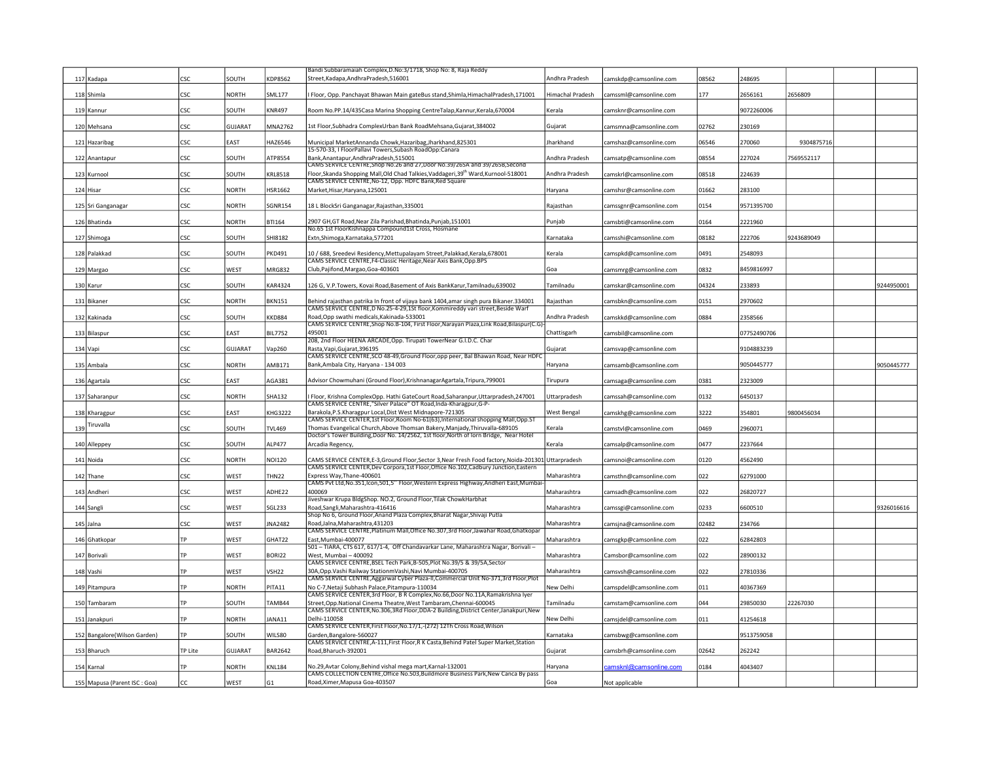|                               |            |                |                | Bandi Subbaramaiah Complex, D. No: 3/1718, Shop No: 8, Raja Reddy                                                                                                         |                  |                         |       |             |            |            |
|-------------------------------|------------|----------------|----------------|---------------------------------------------------------------------------------------------------------------------------------------------------------------------------|------------------|-------------------------|-------|-------------|------------|------------|
| 117 Kadapa                    | CSC.       | SOUTH          | KDP8562        | Street, Kadapa, AndhraPradesh, 516001                                                                                                                                     | Andhra Pradesh   | camskdp@camsonline.com  | 08562 | 248695      |            |            |
|                               |            |                |                |                                                                                                                                                                           |                  |                         |       |             |            |            |
| 118 Shimla                    | CSC        | <b>NORTH</b>   | <b>SML177</b>  | Floor, Opp. Panchayat Bhawan Main gateBus stand, Shimla, HimachalPradesh, 171001                                                                                          | Himachal Pradesh | camssml@camsonline.com  | 177   | 2656161     | 2656809    |            |
| 119 Kannur                    | CSC        | SOUTH          | <b>KNR497</b>  | Room No.PP.14/435Casa Marina Shopping CentreTalap, Kannur, Kerala, 670004                                                                                                 | Kerala           | camsknr@camsonline.com  |       | 9072260006  |            |            |
| 120 Mehsana                   | CSC        | <b>GUJARAT</b> | <b>MNA2762</b> | 1st Floor, Subhadra ComplexUrban Bank RoadMehsana, Gujarat, 384002                                                                                                        | Gujarat          | camsmna@camsonline.com  | 02762 | 230169      |            |            |
| 121 Hazaribag                 | <b>CSC</b> | EAST           | HAZ6546        | Municipal MarketAnnanda Chowk,Hazaribag,Jharkhand,825301                                                                                                                  | <b>Iharkhand</b> | camshaz@camsonline.com  | 06546 | 270060      | 9304875716 |            |
| 122 Anantapu                  | CSC        | SOUTH          | ATP8554        | 15-570-33, I FloorPallavi Towers, Subash RoadOpp:Canara<br>Bank, Anantapur, AndhraPradesh, 515001                                                                         | Andhra Pradesh   | camsatp@camsonline.com  | 08554 | 227024      | 7569552117 |            |
| 123 Kurnool                   | CSC        | SOUTH          | <b>KRL8518</b> | AMS SERVICE CENTRE, Shop No.26 and 27, Door No.39/265A and 39/265B, Second<br>Floor,Skanda Shopping Mall,Old Chad Talkies,Vaddageri,39 <sup>th</sup> Ward,Kurnool-518001  | Andhra Pradesh   | camskrl@camsonline.com  | 08518 | 224639      |            |            |
|                               |            |                |                | CAMS SERVICE CENTRE, No-12, Opp. HDFC Bank, Red Square                                                                                                                    |                  |                         |       |             |            |            |
| 124 Hisar                     | CSC        | <b>NORTH</b>   | HSR1662        | Market, Hisar, Haryana, 125001                                                                                                                                            | Haryana          | camshsr@camsonline.com  | 01662 | 283100      |            |            |
| 125 Sri Ganganagar            | CSC        | <b>NORTH</b>   | <b>SGNR154</b> | 18 L BlockSri Ganganagar, Rajasthan, 335001                                                                                                                               | Raiasthan        | camssgnr@camsonline.com | 0154  | 9571395700  |            |            |
| 126 Bhatinda                  | CSC        | <b>NORTH</b>   | <b>BTI164</b>  | 2907 GH,GT Road, Near Zila Parishad, Bhatinda, Punjab, 151001<br>No.65 1st FloorKishnappa Compound1st Cross, Hosmane                                                      | Punjab           | camsbti@camsonline.com  | 0164  | 2221960     |            |            |
| 127 Shimoga                   | CSC        | SOUTH          | SHI8182        | Extn, Shimoga, Karnataka, 577201                                                                                                                                          | Karnataka        | camsshi@camsonline.com  | 08182 | 222706      | 9243689049 |            |
| 128 Palakkad                  | CSC        | SOUTH          | <b>PKD491</b>  | 10 / 688, Sreedevi Residency, Mettupalayam Street, Palakkad, Kerala, 678001                                                                                               | Kerala           | camspkd@camsonline.com  | 0491  | 2548093     |            |            |
|                               |            |                |                | CAMS SERVICE CENTRE, F4-Classic Heritage, Near Axis Bank, Opp.BPS                                                                                                         |                  |                         |       |             |            |            |
| 129 Margao                    | CSC        | WEST           | <b>MRG832</b>  | Club, Pajifond, Margao, Goa-403601                                                                                                                                        | Goa              | camsmrg@camsonline.com  | 0832  | 8459816997  |            |            |
| 130 Karur                     | CSC        | SOUTH          | <b>KAR4324</b> | 126 G, V.P.Towers, Kovai Road, Basement of Axis BankKarur, Tamilnadu, 639002                                                                                              | Tamilnadu        | camskar@camsonline.com  | 04324 | 233893      |            | 9244950001 |
| 131 Bikane                    | CSC        | <b>NORTH</b>   | <b>BKN151</b>  | Behind rajasthan patrika In front of vijaya bank 1404,amar singh pura Bikaner.334001<br>CAMS SERVICE CENTRE, D No.25-4-29, 1St floor, Kommireddy vari street, Beside Warf | Raiasthan        | camsbkn@camsonline.com  | 0151  | 2970602     |            |            |
| 132 Kakinada                  | CSC        | SOUTH          | <b>KKD884</b>  | Road, Opp swathi medicals, Kakinada-533001                                                                                                                                | Andhra Pradesh   | camskkd@camsonline.com  | 0884  | 2358566     |            |            |
| 133 Bilaspur                  | CSC        | EAST           | <b>BIL7752</b> | CAMS SERVICE CENTRE, Shop No.B-104, First Floor, Narayan Plaza, Link Road, Bilaspur(C.G)<br>495001                                                                        | Chattisgarh      | camsbil@camsonline.com  |       | 07752490706 |            |            |
| 134 Vapi                      | CSC        | <b>GUJARAT</b> | Vap260         | 208, 2nd Floor HEENA ARCADE, Opp. Tirupati TowerNear G.I.D.C. Char<br>Rasta. Vapi. Guiarat. 396195                                                                        | Gujarat          | camsvap@camsonline.com  |       | 9104883239  |            |            |
|                               |            |                |                | CAMS SERVICE CENTRE, SCO 48-49, Ground Floor, opp peer, Bal Bhawan Road, Near HDFC                                                                                        |                  |                         |       |             |            |            |
| 135 Ambala                    | CSC        | <b>NORTH</b>   | AMB171         | Bank, Ambala City, Haryana - 134 003                                                                                                                                      | Haryana          | camsamb@camsonline.com  |       | 9050445777  |            | 9050445777 |
| 136 Agartala                  | CSC        | EAST           | AGA381         | Advisor Chowmuhani (Ground Floor), Krishnanagar Agartala, Tripura, 799001                                                                                                 | Tirupura         | camsaga@camsonline.com  | 0381  | 2323009     |            |            |
| 137 Saharanpur                | CSC        | <b>NORTH</b>   | SHA132         | I Floor, Krishna ComplexOpp. Hathi GateCourt Road,Saharanpur,Uttarpradesh,247001                                                                                          | Uttarpradesh     | camssah@camsonline.com  | 0132  | 6450137     |            |            |
| 138 Kharagpur                 | <b>CSC</b> | EAST           | <b>KHG3222</b> | CAMS SERVICE CENTRE, "Silver Palace" OT Road, Inda-Kharagpur, G-P-<br>Barakola, P.S. Kharagpur Local, Dist West Midnapore-721305                                          | West Bengal      | camskhg@camsonline.com  | 3222  | 354801      | 9800456034 |            |
| Tiruvalla<br>139              | CSC        | SOUTH          | <b>TVL469</b>  | CAMS SERVICE CENTER,1st Floor, Room No-61(63), International shopping Mall, Opp.ST<br>Thomas Evangelical Church, Above Thomsan Bakery, Manjady, Thiruvalla-689105         | Kerala           | camstvl@camsonline.com  | 0469  | 2960071     |            |            |
|                               |            |                |                | Doctor's Tower Building, Door No. 14/2562, 1st floor, North of Iorn Bridge, Near Hotel<br>Arcadia Regency,                                                                | Kerala           |                         |       |             |            |            |
| 140 Alleppey                  | CSC        | SOUTH          | <b>ALP477</b>  |                                                                                                                                                                           |                  | camsalp@camsonline.com  | 0477  | 2237664     |            |            |
| 141 Noida                     | <b>CSC</b> | <b>NORTH</b>   | NOI120         | CAMS SERVICE CENTER,E-3,Ground Floor,Sector 3,Near Fresh Food factory,Noida-201301 Uttarpradesh                                                                           |                  | camsnoi@camsonline.com  | 0120  | 4562490     |            |            |
| 142 Thane                     | CSC        | WEST           | THN22          | CAMS SERVICE CENTER, Dev Corpora, 1st Floor, Office No.102, Cadbury Junction, Eastern<br>Express Way, Thane-400601                                                        | Maharashtra      | :amsthn@camsonline.com  | 022   | 62791000    |            |            |
|                               | rsc        | <b>WFST</b>    |                | CAMS Pvt Ltd, No.351, Icon, 501, 5" Floor, Western Express Highway, Andheri East, Mumbai<br><b>PAOODA</b>                                                                 |                  |                         | 022   |             |            |            |
| 143 Andheri                   |            |                | ADHE22         | Jiveshwar Krupa BldgShop. NO.2, Ground Floor, Tilak ChowkHarbhat                                                                                                          | Maharashtra      | camsadh@camsonline.com  |       | 26820727    |            |            |
| 144 Sangli                    | <b>CSC</b> | WEST           | <b>SGL233</b>  | Road, Sangli, Maharashtra-416416<br>Shop No 6, Ground Floor, Anand Plaza Complex, Bharat Nagar, Shivaji Putla                                                             | Maharashtra      | camssgi@camsonline.com  | 0233  | 6600510     |            | 326016616  |
| 145 Jalna                     | CSC        | WEST           | JNA2482        | Road, Jalna, Maharashtra, 431203                                                                                                                                          | Maharashtra      | camsjna@camsonline.com  | 02482 | 234766      |            |            |
|                               |            |                |                | CAMS SERVICE CENTRE, Platinum Mall, Office No.307, 3rd Floor, Jawahar Road, Ghatkopar                                                                                     |                  |                         |       |             |            |            |
| 146 Ghatkopar                 | TP         | WEST           | GHAT22         | East.Mumbai-400077<br>501 - TIARA, CTS 617, 617/1-4, Off Chandavarkar Lane, Maharashtra Nagar, Borivali -                                                                 | Maharashtra      | camsgkp@camsonline.com  | 022   | 62842803    |            |            |
| 147 Borivali                  | ΤP         | WEST           | <b>BORI22</b>  | West, Mumbai - 400092<br>CAMS SERVICE CENTRE, BSEL Tech Park, B-505, Plot No.39/5 & 39/5A, Sector                                                                         | Maharashtra      | Camsbor@camsonline.com  | 022   | 28900132    |            |            |
| 148 Vashi                     | TP         | WEST           | <b>VSH22</b>   | 30A, Opp. Vashi Railway Stationm Vashi, Navi Mumbai-400705                                                                                                                | Maharashtra      | camsvsh@camsonline.com  | 022   | 27810336    |            |            |
| 149 Pitampura                 | TP         | <b>NORTH</b>   | PITA11         | CAMS SERVICE CENTRE, Aggarwal Cyber Plaza-II, Commercial Unit No-371, 3rd Floor, Plot<br>No C-7, Netaji Subhash Palace, Pitampura-110034                                  | New Delhi        | camspdel@camsonline.com | 011   | 40367369    |            |            |
| 150 Tambaram                  | TP         | SOUTH          | TAMB44         | CAMS SERVICE CENTER, 3rd Floor, B R Complex, No.66, Door No.11A, Ramakrishna Iyer<br>Street, Opp. National Cinema Theatre, West Tambaram, Chennai-600045                  | Tamilnadu        | camstam@camsonline.com  | 144   | 29850030    | 22267030   |            |
|                               |            |                |                | CAMS SERVICE CENTER, No.306, 3Rd Floor, DDA-2 Building, District Center, Janakpuri, New                                                                                   |                  |                         |       |             |            |            |
| 151 Janakpuri                 | TP         | <b>NORTH</b>   | JANA11         | Delhi-110058<br>CAMS SERVICE CENTER, First Floor, No.17/1, -(272) 12Th Cross Road, Wilson                                                                                 | New Delhi        | camsjdel@camsonline.com | 011   | 41254618    |            |            |
| 152 Bangalore(Wilson Garden)  | TP         | SOUTH          | WILS80         | Garden, Bangalore-560027<br>CAMS SERVICE CENTRE, A-111, First Floor, R K Casta, Behind Patel Super Market, Station                                                        | Karnataka        | camsbwg@camsonline.com  |       | 9513759058  |            |            |
| 153 Bharuch                   | TP Lite    | GUIARAT        | <b>BAR2642</b> | Road, Bharuch-392001                                                                                                                                                      | Gujarat          | camsbrh@camsonline.com  | 02642 | 262242      |            |            |
| 154 Karnal                    | TP         | <b>NORTH</b>   | <b>KNL184</b>  | No.29, Avtar Colony, Behind vishal mega mart, Karnal-132001                                                                                                               | Haryana          | amsknl@camsonline.com   | 0184  | 4043407     |            |            |
|                               |            |                |                | CAMS COLLECTION CENTRE, Office No.503, Buildmore Business Park, New Canca By pass                                                                                         |                  |                         |       |             |            |            |
| 155 Mapusa (Parent ISC : Goa) | СC         | WEST           | G <sub>1</sub> | Road, Ximer, Mapusa Goa-403507                                                                                                                                            | Goa              | Not applicable          |       |             |            |            |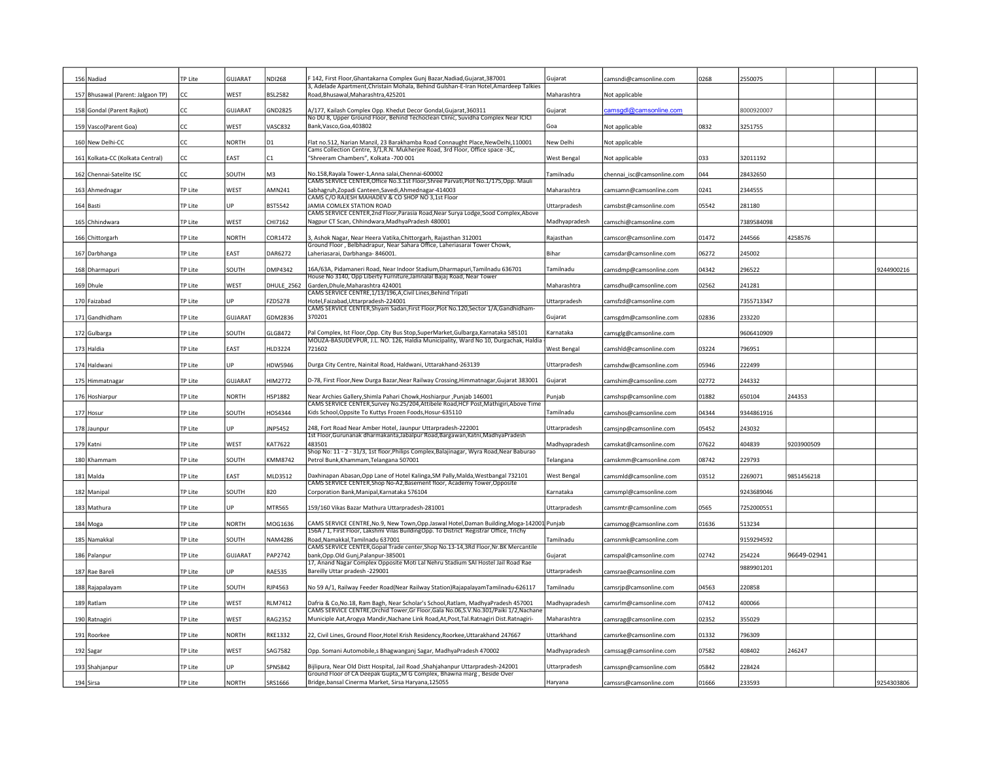| 156 Nadiad                        | <b>TP Lite</b> | GUJARAT        | <b>NDI268</b>     | 142, First Floor, Ghantakarna Complex Gunj Bazar, Nadiad, Gujarat, 387001                                                                                                             | Gujarat            | camsndi@camsonline.com     | 0268  | 2550075    |             |            |
|-----------------------------------|----------------|----------------|-------------------|---------------------------------------------------------------------------------------------------------------------------------------------------------------------------------------|--------------------|----------------------------|-------|------------|-------------|------------|
|                                   |                |                |                   | 3, Adelade Apartment, Christain Mohala, Behind Gulshan-E-Iran Hotel, Amardeep Talkies                                                                                                 |                    |                            |       |            |             |            |
| 157 Bhusawal (Parent: Jalgaon TP) | CC.            | WEST           | <b>BSL2582</b>    | Road, Bhusawal, Maharashtra, 425201                                                                                                                                                   | Maharashtra        | Not applicable             |       |            |             |            |
| 158 Gondal (Parent Rajkot)        | CC             | GUJARAT        | <b>GND2825</b>    | 4/177, Kailash Complex Opp. Khedut Decor Gondal, Gujarat, 360311<br>No DU 8, Upper Ground Floor, Behind Techoclean Clinic, Suvidha Complex Near ICICI                                 | Gujarat            | amsgdl@camsonline.com      |       | 8000920007 |             |            |
| 159 Vasco(Parent Goa)             | СC             | WEST           | VASC832           | Bank, Vasco, Goa, 403802                                                                                                                                                              | Goa                | Not applicable             | 0832  | 3251755    |             |            |
| 160 New Delhi-CC                  | CC.            | <b>NORTH</b>   | D <sub>1</sub>    | Flat no.512, Narian Manzil, 23 Barakhamba Road Connaught Place, New Delhi, 110001<br>Cams Collection Centre, 3/1, R.N. Mukherjee Road, 3rd Floor, Office space -3C,                   | New Delhi          | Not applicable             |       |            |             |            |
| 161 Kolkata-CC (Kolkata Central)  | СC             | EAST           | C1                | "Shreeram Chambers", Kolkata -700 001                                                                                                                                                 | West Bengal        | Not applicable             | 033   | 32011192   |             |            |
| 162 Chennai-Satelite ISC          | СC             | SOUTH          | M3                | No.158, Rayala Tower-1, Anna salai, Chennai-600002                                                                                                                                    | Tamilnadu          | chennai_isc@camsonline.com | 044   | 28432650   |             |            |
| 163 Ahmednagar                    | <b>TP Lite</b> | WEST           | AMN241            | CAMS SERVICE CENTER, Office No.3.1st Floor, Shree Parvati, Plot No.1/175, Opp. Mauli<br>Sabhagruh, Zopadi Canteen, Savedi, Ahmednagar-414003                                          | Maharashtra        | camsamn@camsonline.com     | 0241  | 2344555    |             |            |
| 164 Basti                         | TP Lite        | UP             | <b>BST5542</b>    | CAMS C/O RAJESH MAHADEV & CO SHOP NO 3,1st Floor<br>JAMIA COMLEX STATION ROAD                                                                                                         | Uttarpradesh       | camsbst@camsonline.com     | 05542 | 281180     |             |            |
| 165 Chhindwara                    | TP Lite        | WEST           | CHI7162           | CAMS SERVICE CENTER, 2nd Floor, Parasia Road, Near Surya Lodge, Sood Complex, Above<br>Nagpur CT Scan, Chhindwara, MadhyaPradesh 480001                                               | Madhyapradesh      | camschi@camsonline.com     |       | 7389584098 |             |            |
| 166 Chittorgarh                   | <b>TP Lite</b> | <b>NORTH</b>   | COR1472           | 3, Ashok Nagar, Near Heera Vatika, Chittorgarh, Rajasthan 312001                                                                                                                      | Rajasthan          | camscor@camsonline.com     | 01472 | 244566     | 4258576     |            |
|                                   | TP Lite        | EAST           | DAR6272           | Ground Floor, Belbhadrapur, Near Sahara Office, Laheriasarai Tower Chowk,<br>Laheriasarai, Darbhanga-846001.                                                                          | Bihar              |                            | 06272 | 245002     |             |            |
| 167 Darbhanga                     |                |                |                   |                                                                                                                                                                                       |                    | camsdar@camsonline.com     |       |            |             |            |
| 168 Dharmapuri                    | TP Lite        | SOUTH          | <b>DMP4342</b>    | 16A/63A, Pidamaneri Road, Near Indoor Stadium, Dharmapuri, Tamilnadu 636701<br>House No 3140, Opp Liberty Furniture, Jamnalal Bajaj Road, Near Tower                                  | Tamilnadu          | camsdmp@camsonline.com     | 04342 | 296522     |             | 9244900216 |
| 169 Dhule                         | <b>TP Lite</b> | WEST           | <b>DHULE_2562</b> | Garden, Dhule, Maharashtra 424001<br>CAMS SERVICE CENTRE, 1/13/196, A, Civil Lines, Behind Tripati                                                                                    | Maharashtra        | camsdhu@camsonline.com     | 02562 | 241281     |             |            |
| 170 Faizabad                      | TP Lite        | <b>IIP</b>     | FZD5278           | Hotel, Faizabad, Uttarpradesh-224001<br>CAMS SERVICE CENTER, Shyam Sadan, First Floor, Plot No.120, Sector 1/A, Gandhidham-                                                           | Uttarpradesh       | camsfzd@camsonline.com     |       | 7355713347 |             |            |
| 171 Gandhidham                    | TP Lite        | GUJARAT        | GDM2836           | 370201                                                                                                                                                                                | Guiarat            | camsgdm@camsonline.com     | 02836 | 233220     |             |            |
| 172 Gulbarga                      | <b>TP Lite</b> | SOUTH          | GLG8472           | Pal Complex, Ist Floor, Opp. City Bus Stop, SuperMarket, Gulbarga, Karnataka 585101                                                                                                   | Karnataka          | camsglg@camsonline.com     |       | 9606410909 |             |            |
| 173 Haldia                        | <b>TP Lite</b> | EAST           | HLD3224           | MOUZA-BASUDEVPUR, J.L. NO. 126, Haldia Municipality, Ward No 10, Durgachak, Haldia<br>721602                                                                                          | <b>West Bengal</b> | camshld@camsonline.com     | 03224 | 796951     |             |            |
| 174 Haldwani                      | TP Lite        | <b>IP</b>      | HDW5946           | Durga City Centre, Nainital Road, Haldwani, Uttarakhand-263139                                                                                                                        | Uttarpradesh       | camshdw@camsonline.com     | 05946 | 222499     |             |            |
| 175 Himmatnagar                   | TP Lite        | <b>GUJARAT</b> | HIM2772           | D-78, First Floor, New Durga Bazar, Near Railway Crossing, Himmatnagar, Gujarat 383001                                                                                                | Gujarat            | camshim@camsonline.com     | 02772 | 244332     |             |            |
| 176 Hoshiarpur                    | <b>TP Lite</b> | <b>NORTH</b>   | HSP1882           | Near Archies Gallery, Shimla Pahari Chowk, Hoshiarpur , Punjab 146001                                                                                                                 | Punjab             | camshsp@camsonline.com     | 01882 | 650104     | 244353      |            |
| 177 Hosur                         | <b>TP Lite</b> | SOUTH          | <b>HOS4344</b>    | CAMS SERVICE CENTER, Survey No.25/204, Attibele Road, HCF Post, Mathigiri, Above Time<br>Kids School, Oppsite To Kuttys Frozen Foods, Hosur-635110                                    | Tamilnadu          | camshos@camsonline.com     | 04344 | 9344861916 |             |            |
| 178 Jaunpur                       | TP Lite        | UP             | <b>INP5452</b>    | 248, Fort Road Near Amber Hotel, Jaunpur Uttarpradesh-222001                                                                                                                          | Uttarpradesh       | camsjnp@camsonline.com     | 05452 | 243032     |             |            |
| 179 Katni                         | <b>TP Lite</b> | WEST           | KAT7622           | 1st Floor, Gurunanak dharmakanta, Jabalpur Road, Bargawan, Katni, MadhyaPradesh<br>483501                                                                                             | Madhyapradesh      | camskat@camsonline.com     | 07622 | 404839     | 9203900509  |            |
|                                   |                |                |                   | Shop No: 11 - 2 - 31/3, 1st floor, Philips Complex, Balajinagar, Wyra Road, Near Baburao                                                                                              |                    |                            |       |            |             |            |
| 180 Khammam                       | <b>TP Lite</b> | SOUTH          | <b>KMM8742</b>    | Petrol Bunk, Khammam, Telangana 507001                                                                                                                                                | Telangana          | camskmm@camsonline.com     | 08742 | 229793     |             |            |
| 181 Malda                         | <b>TP Lite</b> | EAST           | MLD3512           | Daxhinapan Abasan, Opp Lane of Hotel Kalinga, SM Pally, Malda, Westbangal 732101<br>CAMS SERVICE CENTER, Shop No-A2, Basement floor, Academy Tower, Opposite                          | West Bengal        | camsmld@camsonline.com     | 03512 | 2269071    | 9851456218  |            |
| 182 Manipal                       | <b>TP Lite</b> | SOUTH          | 820               | Corporation Bank, Manipal, Karnataka 576104                                                                                                                                           | Karnataka          | camsmpl@camsonline.com     |       | 9243689046 |             |            |
| 183 Mathura                       | <b>TP Lite</b> | <b>IIP</b>     | <b>MTR565</b>     | 159/160 Vikas Bazar Mathura Uttarpradesh-281001                                                                                                                                       | Uttarpradesh       | camsmtr@camsonline.com     | 0565  | 7252000551 |             |            |
| 184 Moga                          | <b>TP Lite</b> | <b>NORTH</b>   | MOG1636           | CAMS SERVICE CENTRE, No.9, New Town, Opp. Jaswal Hotel, Daman Building, Moga-142001 Punjab<br>156A / 1, First Floor, Lakshmi Vilas BuildingOpp. To District Registrar Office, Trichy  |                    | camsmog@camsonline.com     | 01636 | 513234     |             |            |
| 185 Namakkal                      | TP Lite        | SOUTH          | <b>NAM4286</b>    | Road, Namakkal, Tamilnadu 637001                                                                                                                                                      | Tamilnadu          | camsnmk@camsonline.com     |       | 9159294592 |             |            |
| 186 Palanpur                      | TP Lite        | GUJARAT        | PAP2742           | CAMS SERVICE CENTER, Gopal Trade center, Shop No.13-14, 3Rd Floor, Nr. BK Mercantile<br>bank, Opp. Old Gunj, Palanpur-385001                                                          | Gujarat            | camspal@camsonline.com     | 02742 | 254224     | 96649-02941 |            |
| 187 Rae Bareli                    | TP Lite        | UP             | <b>RAE535</b>     | 17, Anand Nagar Complex Opposite Moti Lal Nehru Stadium SAI Hostel Jail Road Rae<br>Bareilly Uttar pradesh -229001                                                                    | Uttarpradesh       | camsrae@camsonline.com     |       | 9889901201 |             |            |
| 188 Rajapalayam                   | TP Lite        | SOUTH          | RJP4563           | No 59 A/1, Railway Feeder Road(Near Railway Station)RajapalayamTamilnadu-626117                                                                                                       | Tamilnadu          | camsrjp@camsonline.com     | 04563 | 220858     |             |            |
| 189 Ratlam                        | TP Lite        | WEST           | <b>RLM7412</b>    | Dafria & Co,No.18, Ram Bagh, Near Scholar's School,Ratlam, MadhyaPradesh 457001                                                                                                       | Madhyapradesh      | camsrlm@camsonline.com     | 07412 | 400066     |             |            |
| 190 Ratnagiri                     | TP Lite        | WEST           | RAG2352           | CAMS SERVICE CENTRE, Orchid Tower, Gr Floor, Gala No.06, S.V. No.301/Paiki 1/2, Nachane<br>Municiple Aat, Arogya Mandir, Nachane Link Road, At, Post, Tal. Ratnagiri Dist. Ratnagiri- | Maharashtra        | camsrag@camsonline.com     | 02352 | 355029     |             |            |
| 191 Roorkee                       | <b>TP Lite</b> | <b>NORTH</b>   | <b>RKE1332</b>    | 22, Civil Lines, Ground Floor, Hotel Krish Residency, Roorkee, Uttarakhand 247667                                                                                                     | Uttarkhand         | camsrke@camsonline.com     | 01332 | 796309     |             |            |
|                                   |                |                |                   |                                                                                                                                                                                       |                    |                            |       |            |             |            |
| 192 Sagar                         | TP Lite        | WEST           | SAG7582           | Opp. Somani Automobile,s Bhagwanganj Sagar, MadhyaPradesh 470002                                                                                                                      | Madhyapradesh      | camssag@camsonline.com     | 07582 | 408402     | 246247      |            |
| 193 Shahjanpur                    | <b>TP Lite</b> | UP             | SPN5842           | Bijlipura, Near Old Distt Hospital, Jail Road , Shahjahanpur Uttarpradesh-242001<br>Ground Floor of CA Deepak Gupta,, M G Complex, Bhawna marg, Beside Over                           | Uttarpradesh       | camsspn@camsonline.com     | 05842 | 228424     |             |            |
| 194 Sirsa                         | <b>TP Lite</b> | <b>NORTH</b>   | SRS1666           | Bridge, bansal Cinerma Market, Sirsa Haryana, 125055                                                                                                                                  | Harvana            | camssrs@camsonline.com     | 01666 | 233593     |             | 9254303806 |